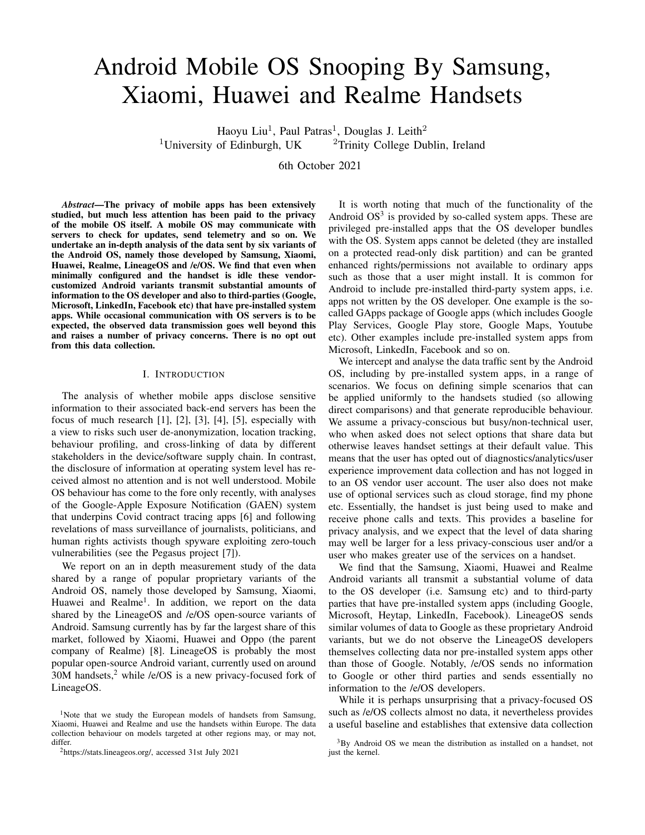# Android Mobile OS Snooping By Samsung, Xiaomi, Huawei and Realme Handsets

Haoyu Liu<sup>1</sup>, Paul Patras<sup>1</sup>, Douglas J. Leith<sup>2</sup> <sup>1</sup>University of Edinburgh, UK <sup>2</sup>Trinity College Dublin, Ireland

6th October 2021

*Abstract*—The privacy of mobile apps has been extensively studied, but much less attention has been paid to the privacy of the mobile OS itself. A mobile OS may communicate with servers to check for updates, send telemetry and so on. We undertake an in-depth analysis of the data sent by six variants of the Android OS, namely those developed by Samsung, Xiaomi, Huawei, Realme, LineageOS and /e/OS. We find that even when minimally configured and the handset is idle these vendorcustomized Android variants transmit substantial amounts of information to the OS developer and also to third-parties (Google, Microsoft, LinkedIn, Facebook etc) that have pre-installed system apps. While occasional communication with OS servers is to be expected, the observed data transmission goes well beyond this and raises a number of privacy concerns. There is no opt out from this data collection.

## I. INTRODUCTION

The analysis of whether mobile apps disclose sensitive information to their associated back-end servers has been the focus of much research [1], [2], [3], [4], [5], especially with a view to risks such user de-anonymization, location tracking, behaviour profiling, and cross-linking of data by different stakeholders in the device/software supply chain. In contrast, the disclosure of information at operating system level has received almost no attention and is not well understood. Mobile OS behaviour has come to the fore only recently, with analyses of the Google-Apple Exposure Notification (GAEN) system that underpins Covid contract tracing apps [6] and following revelations of mass surveillance of journalists, politicians, and human rights activists though spyware exploiting zero-touch vulnerabilities (see the Pegasus project [7]).

We report on an in depth measurement study of the data shared by a range of popular proprietary variants of the Android OS, namely those developed by Samsung, Xiaomi, Huawei and Realme<sup>1</sup>. In addition, we report on the data shared by the LineageOS and /e/OS open-source variants of Android. Samsung currently has by far the largest share of this market, followed by Xiaomi, Huawei and Oppo (the parent company of Realme) [8]. LineageOS is probably the most popular open-source Android variant, currently used on around  $30M$  handsets,<sup>2</sup> while /e/OS is a new privacy-focused fork of LineageOS.

It is worth noting that much of the functionality of the Android OS<sup>3</sup> is provided by so-called system apps. These are privileged pre-installed apps that the OS developer bundles with the OS. System apps cannot be deleted (they are installed on a protected read-only disk partition) and can be granted enhanced rights/permissions not available to ordinary apps such as those that a user might install. It is common for Android to include pre-installed third-party system apps, i.e. apps not written by the OS developer. One example is the socalled GApps package of Google apps (which includes Google Play Services, Google Play store, Google Maps, Youtube etc). Other examples include pre-installed system apps from Microsoft, LinkedIn, Facebook and so on.

We intercept and analyse the data traffic sent by the Android OS, including by pre-installed system apps, in a range of scenarios. We focus on defining simple scenarios that can be applied uniformly to the handsets studied (so allowing direct comparisons) and that generate reproducible behaviour. We assume a privacy-conscious but busy/non-technical user, who when asked does not select options that share data but otherwise leaves handset settings at their default value. This means that the user has opted out of diagnostics/analytics/user experience improvement data collection and has not logged in to an OS vendor user account. The user also does not make use of optional services such as cloud storage, find my phone etc. Essentially, the handset is just being used to make and receive phone calls and texts. This provides a baseline for privacy analysis, and we expect that the level of data sharing may well be larger for a less privacy-conscious user and/or a user who makes greater use of the services on a handset.

We find that the Samsung, Xiaomi, Huawei and Realme Android variants all transmit a substantial volume of data to the OS developer (i.e. Samsung etc) and to third-party parties that have pre-installed system apps (including Google, Microsoft, Heytap, LinkedIn, Facebook). LineageOS sends similar volumes of data to Google as these proprietary Android variants, but we do not observe the LineageOS developers themselves collecting data nor pre-installed system apps other than those of Google. Notably, /e/OS sends no information to Google or other third parties and sends essentially no information to the /e/OS developers.

While it is perhaps unsurprising that a privacy-focused OS such as /e/OS collects almost no data, it nevertheless provides a useful baseline and establishes that extensive data collection

<sup>&</sup>lt;sup>1</sup>Note that we study the European models of handsets from Samsung, Xiaomi, Huawei and Realme and use the handsets within Europe. The data collection behaviour on models targeted at other regions may, or may not, differ.

<sup>2</sup>https://stats.lineageos.org/, accessed 31st July 2021

 $3$ By Android OS we mean the distribution as installed on a handset, not just the kernel.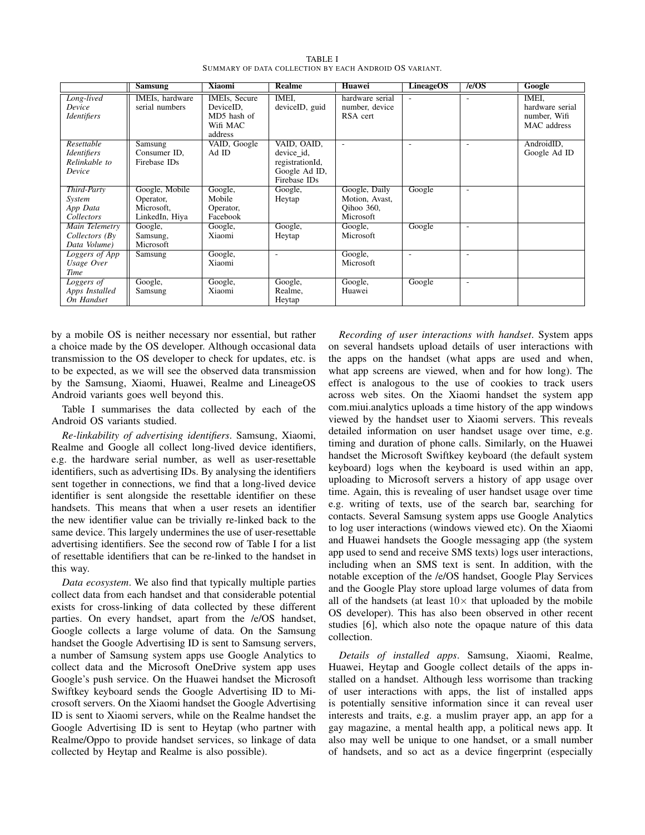|                                                             | <b>Samsung</b>                                              | <b>Xiaomi</b>                                                           | <b>Realme</b>                                                                 | <b>Huawei</b>                                              | LineageOS | $/$ e/OS                 | Google                                                  |
|-------------------------------------------------------------|-------------------------------------------------------------|-------------------------------------------------------------------------|-------------------------------------------------------------------------------|------------------------------------------------------------|-----------|--------------------------|---------------------------------------------------------|
| Long-lived<br>Device<br><i>Identifiers</i>                  | IMEIs, hardware<br>serial numbers                           | <b>IMEIs, Secure</b><br>DeviceID,<br>MD5 hash of<br>Wifi MAC<br>address | IMEI.<br>deviceID, guid                                                       | hardware serial<br>number, device<br>RSA cert              |           |                          | IMEI.<br>hardware serial<br>number, Wifi<br>MAC address |
| Resettable<br><b>Identifiers</b><br>Relinkable to<br>Device | Samsung<br>Consumer ID,<br>Firebase IDs                     | VAID, Google<br>Ad ID                                                   | VAID, OAID,<br>device_id,<br>registrationId,<br>Google Ad ID,<br>Firebase IDs | ٠                                                          | ۰         | ٠                        | AndroidID,<br>Google Ad ID                              |
| Third-Party<br>System<br>App Data<br>Collectors             | Google, Mobile<br>Operator,<br>Microsoft.<br>LinkedIn, Hiya | Google,<br>Mobile<br>Operator,<br>Facebook                              | Google,<br>Heytap                                                             | Google, Daily<br>Motion, Avast,<br>Oihoo 360,<br>Microsoft | Google    | $\overline{\phantom{a}}$ |                                                         |
| Main Telemetry<br>Collectors $(By)$<br>Data Volume)         | Google,<br>Samsung,<br>Microsoft                            | Google,<br>Xiaomi                                                       | Google,<br>Heytap                                                             | Google,<br>Microsoft                                       | Google    |                          |                                                         |
| Loggers of App<br>Usage Over<br>Time                        | Samsung                                                     | Google,<br>Xiaomi                                                       | ٠                                                                             | Google,<br>Microsoft                                       |           | ٠                        |                                                         |
| Loggers of<br>Apps Installed<br>On Handset                  | Google,<br>Samsung                                          | Google,<br>Xiaomi                                                       | Google,<br>Realme,<br>Heytap                                                  | Google,<br>Huawei                                          | Google    | $\overline{\phantom{a}}$ |                                                         |

TABLE I SUMMARY OF DATA COLLECTION BY EACH ANDROID OS VARIANT.

by a mobile OS is neither necessary nor essential, but rather a choice made by the OS developer. Although occasional data transmission to the OS developer to check for updates, etc. is to be expected, as we will see the observed data transmission by the Samsung, Xiaomi, Huawei, Realme and LineageOS Android variants goes well beyond this.

Table I summarises the data collected by each of the Android OS variants studied.

*Re-linkability of advertising identifiers*. Samsung, Xiaomi, Realme and Google all collect long-lived device identifiers, e.g. the hardware serial number, as well as user-resettable identifiers, such as advertising IDs. By analysing the identifiers sent together in connections, we find that a long-lived device identifier is sent alongside the resettable identifier on these handsets. This means that when a user resets an identifier the new identifier value can be trivially re-linked back to the same device. This largely undermines the use of user-resettable advertising identifiers. See the second row of Table I for a list of resettable identifiers that can be re-linked to the handset in this way.

*Data ecosystem*. We also find that typically multiple parties collect data from each handset and that considerable potential exists for cross-linking of data collected by these different parties. On every handset, apart from the /e/OS handset, Google collects a large volume of data. On the Samsung handset the Google Advertising ID is sent to Samsung servers, a number of Samsung system apps use Google Analytics to collect data and the Microsoft OneDrive system app uses Google's push service. On the Huawei handset the Microsoft Swiftkey keyboard sends the Google Advertising ID to Microsoft servers. On the Xiaomi handset the Google Advertising ID is sent to Xiaomi servers, while on the Realme handset the Google Advertising ID is sent to Heytap (who partner with Realme/Oppo to provide handset services, so linkage of data collected by Heytap and Realme is also possible).

*Recording of user interactions with handset*. System apps on several handsets upload details of user interactions with the apps on the handset (what apps are used and when, what app screens are viewed, when and for how long). The effect is analogous to the use of cookies to track users across web sites. On the Xiaomi handset the system app com.miui.analytics uploads a time history of the app windows viewed by the handset user to Xiaomi servers. This reveals detailed information on user handset usage over time, e.g. timing and duration of phone calls. Similarly, on the Huawei handset the Microsoft Swiftkey keyboard (the default system keyboard) logs when the keyboard is used within an app, uploading to Microsoft servers a history of app usage over time. Again, this is revealing of user handset usage over time e.g. writing of texts, use of the search bar, searching for contacts. Several Samsung system apps use Google Analytics to log user interactions (windows viewed etc). On the Xiaomi and Huawei handsets the Google messaging app (the system app used to send and receive SMS texts) logs user interactions, including when an SMS text is sent. In addition, with the notable exception of the /e/OS handset, Google Play Services and the Google Play store upload large volumes of data from all of the handsets (at least  $10\times$  that uploaded by the mobile OS developer). This has also been observed in other recent studies [6], which also note the opaque nature of this data collection.

*Details of installed apps*. Samsung, Xiaomi, Realme, Huawei, Heytap and Google collect details of the apps installed on a handset. Although less worrisome than tracking of user interactions with apps, the list of installed apps is potentially sensitive information since it can reveal user interests and traits, e.g. a muslim prayer app, an app for a gay magazine, a mental health app, a political news app. It also may well be unique to one handset, or a small number of handsets, and so act as a device fingerprint (especially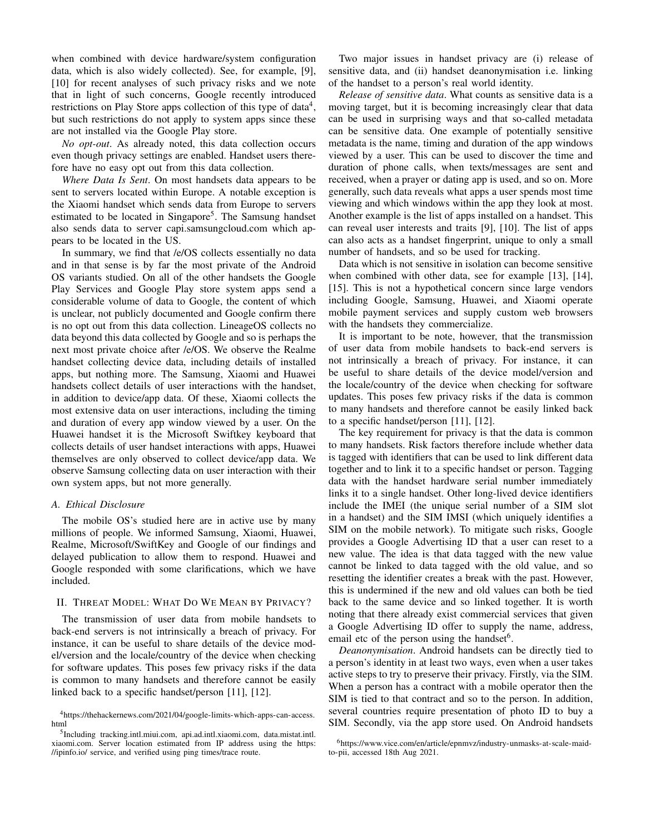when combined with device hardware/system configuration data, which is also widely collected). See, for example, [9], [10] for recent analyses of such privacy risks and we note that in light of such concerns, Google recently introduced restrictions on Play Store apps collection of this type of data<sup>4</sup>, but such restrictions do not apply to system apps since these are not installed via the Google Play store.

*No opt-out*. As already noted, this data collection occurs even though privacy settings are enabled. Handset users therefore have no easy opt out from this data collection.

*Where Data Is Sent*. On most handsets data appears to be sent to servers located within Europe. A notable exception is the Xiaomi handset which sends data from Europe to servers estimated to be located in Singapore<sup>5</sup>. The Samsung handset also sends data to server capi.samsungcloud.com which appears to be located in the US.

In summary, we find that /e/OS collects essentially no data and in that sense is by far the most private of the Android OS variants studied. On all of the other handsets the Google Play Services and Google Play store system apps send a considerable volume of data to Google, the content of which is unclear, not publicly documented and Google confirm there is no opt out from this data collection. LineageOS collects no data beyond this data collected by Google and so is perhaps the next most private choice after /e/OS. We observe the Realme handset collecting device data, including details of installed apps, but nothing more. The Samsung, Xiaomi and Huawei handsets collect details of user interactions with the handset, in addition to device/app data. Of these, Xiaomi collects the most extensive data on user interactions, including the timing and duration of every app window viewed by a user. On the Huawei handset it is the Microsoft Swiftkey keyboard that collects details of user handset interactions with apps, Huawei themselves are only observed to collect device/app data. We observe Samsung collecting data on user interaction with their own system apps, but not more generally.

## *A. Ethical Disclosure*

The mobile OS's studied here are in active use by many millions of people. We informed Samsung, Xiaomi, Huawei, Realme, Microsoft/SwiftKey and Google of our findings and delayed publication to allow them to respond. Huawei and Google responded with some clarifications, which we have included.

## II. THREAT MODEL: WHAT DO WE MEAN BY PRIVACY?

The transmission of user data from mobile handsets to back-end servers is not intrinsically a breach of privacy. For instance, it can be useful to share details of the device model/version and the locale/country of the device when checking for software updates. This poses few privacy risks if the data is common to many handsets and therefore cannot be easily linked back to a specific handset/person [11], [12].

Two major issues in handset privacy are (i) release of sensitive data, and (ii) handset deanonymisation i.e. linking of the handset to a person's real world identity.

*Release of sensitive data*. What counts as sensitive data is a moving target, but it is becoming increasingly clear that data can be used in surprising ways and that so-called metadata can be sensitive data. One example of potentially sensitive metadata is the name, timing and duration of the app windows viewed by a user. This can be used to discover the time and duration of phone calls, when texts/messages are sent and received, when a prayer or dating app is used, and so on. More generally, such data reveals what apps a user spends most time viewing and which windows within the app they look at most. Another example is the list of apps installed on a handset. This can reveal user interests and traits [9], [10]. The list of apps can also acts as a handset fingerprint, unique to only a small number of handsets, and so be used for tracking.

Data which is not sensitive in isolation can become sensitive when combined with other data, see for example [13], [14], [15]. This is not a hypothetical concern since large vendors including Google, Samsung, Huawei, and Xiaomi operate mobile payment services and supply custom web browsers with the handsets they commercialize.

It is important to be note, however, that the transmission of user data from mobile handsets to back-end servers is not intrinsically a breach of privacy. For instance, it can be useful to share details of the device model/version and the locale/country of the device when checking for software updates. This poses few privacy risks if the data is common to many handsets and therefore cannot be easily linked back to a specific handset/person [11], [12].

The key requirement for privacy is that the data is common to many handsets. Risk factors therefore include whether data is tagged with identifiers that can be used to link different data together and to link it to a specific handset or person. Tagging data with the handset hardware serial number immediately links it to a single handset. Other long-lived device identifiers include the IMEI (the unique serial number of a SIM slot in a handset) and the SIM IMSI (which uniquely identifies a SIM on the mobile network). To mitigate such risks, Google provides a Google Advertising ID that a user can reset to a new value. The idea is that data tagged with the new value cannot be linked to data tagged with the old value, and so resetting the identifier creates a break with the past. However, this is undermined if the new and old values can both be tied back to the same device and so linked together. It is worth noting that there already exist commercial services that given a Google Advertising ID offer to supply the name, address, email etc of the person using the handset<sup>6</sup>.

*Deanonymisation*. Android handsets can be directly tied to a person's identity in at least two ways, even when a user takes active steps to try to preserve their privacy. Firstly, via the SIM. When a person has a contract with a mobile operator then the SIM is tied to that contract and so to the person. In addition, several countries require presentation of photo ID to buy a SIM. Secondly, via the app store used. On Android handsets

<sup>4</sup>https://thehackernews.com/2021/04/google-limits-which-apps-can-access. html

<sup>5</sup> Including tracking.intl.miui.com, api.ad.intl.xiaomi.com, data.mistat.intl. xiaomi.com. Server location estimated from IP address using the https: //ipinfo.io/ service, and verified using ping times/trace route.

<sup>6</sup>https://www.vice.com/en/article/epnmvz/industry-unmasks-at-scale-maidto-pii, accessed 18th Aug 2021.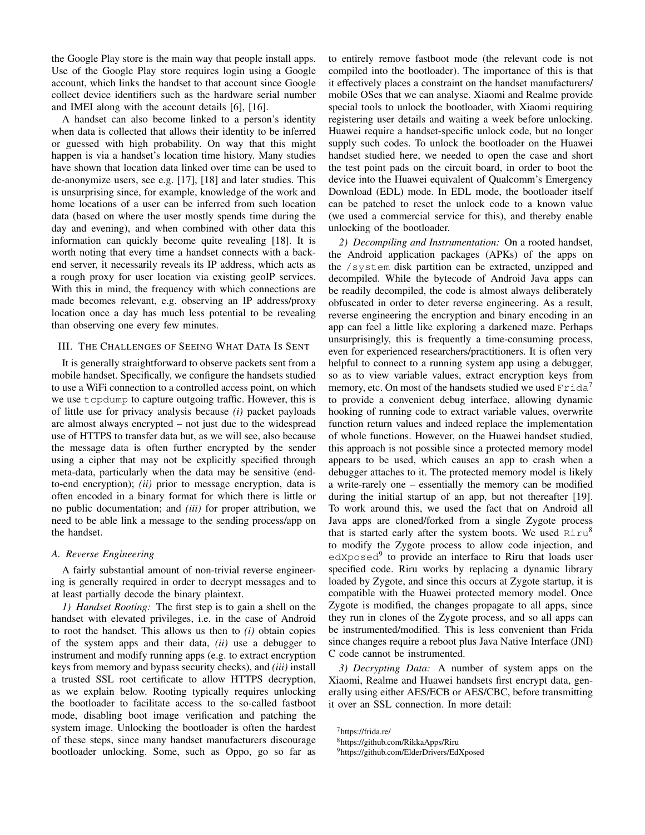the Google Play store is the main way that people install apps. Use of the Google Play store requires login using a Google account, which links the handset to that account since Google collect device identifiers such as the hardware serial number and IMEI along with the account details [6], [16].

A handset can also become linked to a person's identity when data is collected that allows their identity to be inferred or guessed with high probability. On way that this might happen is via a handset's location time history. Many studies have shown that location data linked over time can be used to de-anonymize users, see e.g. [17], [18] and later studies. This is unsurprising since, for example, knowledge of the work and home locations of a user can be inferred from such location data (based on where the user mostly spends time during the day and evening), and when combined with other data this information can quickly become quite revealing [18]. It is worth noting that every time a handset connects with a backend server, it necessarily reveals its IP address, which acts as a rough proxy for user location via existing geoIP services. With this in mind, the frequency with which connections are made becomes relevant, e.g. observing an IP address/proxy location once a day has much less potential to be revealing than observing one every few minutes.

# III. THE CHALLENGES OF SEEING WHAT DATA IS SENT

It is generally straightforward to observe packets sent from a mobile handset. Specifically, we configure the handsets studied to use a WiFi connection to a controlled access point, on which we use tcpdump to capture outgoing traffic. However, this is of little use for privacy analysis because *(i)* packet payloads are almost always encrypted – not just due to the widespread use of HTTPS to transfer data but, as we will see, also because the message data is often further encrypted by the sender using a cipher that may not be explicitly specified through meta-data, particularly when the data may be sensitive (endto-end encryption); *(ii)* prior to message encryption, data is often encoded in a binary format for which there is little or no public documentation; and *(iii)* for proper attribution, we need to be able link a message to the sending process/app on the handset.

#### *A. Reverse Engineering*

A fairly substantial amount of non-trivial reverse engineering is generally required in order to decrypt messages and to at least partially decode the binary plaintext.

*1) Handset Rooting:* The first step is to gain a shell on the handset with elevated privileges, i.e. in the case of Android to root the handset. This allows us then to *(i)* obtain copies of the system apps and their data, *(ii)* use a debugger to instrument and modify running apps (e.g. to extract encryption keys from memory and bypass security checks), and *(iii)* install a trusted SSL root certificate to allow HTTPS decryption, as we explain below. Rooting typically requires unlocking the bootloader to facilitate access to the so-called fastboot mode, disabling boot image verification and patching the system image. Unlocking the bootloader is often the hardest of these steps, since many handset manufacturers discourage bootloader unlocking. Some, such as Oppo, go so far as

to entirely remove fastboot mode (the relevant code is not compiled into the bootloader). The importance of this is that it effectively places a constraint on the handset manufacturers/ mobile OSes that we can analyse. Xiaomi and Realme provide special tools to unlock the bootloader, with Xiaomi requiring registering user details and waiting a week before unlocking. Huawei require a handset-specific unlock code, but no longer supply such codes. To unlock the bootloader on the Huawei handset studied here, we needed to open the case and short the test point pads on the circuit board, in order to boot the device into the Huawei equivalent of Qualcomm's Emergency Download (EDL) mode. In EDL mode, the bootloader itself can be patched to reset the unlock code to a known value (we used a commercial service for this), and thereby enable unlocking of the bootloader.

*2) Decompiling and Instrumentation:* On a rooted handset, the Android application packages (APKs) of the apps on the /system disk partition can be extracted, unzipped and decompiled. While the bytecode of Android Java apps can be readily decompiled, the code is almost always deliberately obfuscated in order to deter reverse engineering. As a result, reverse engineering the encryption and binary encoding in an app can feel a little like exploring a darkened maze. Perhaps unsurprisingly, this is frequently a time-consuming process, even for experienced researchers/practitioners. It is often very helpful to connect to a running system app using a debugger, so as to view variable values, extract encryption keys from memory, etc. On most of the handsets studied we used  $\text{Frida}^7$ to provide a convenient debug interface, allowing dynamic hooking of running code to extract variable values, overwrite function return values and indeed replace the implementation of whole functions. However, on the Huawei handset studied, this approach is not possible since a protected memory model appears to be used, which causes an app to crash when a debugger attaches to it. The protected memory model is likely a write-rarely one – essentially the memory can be modified during the initial startup of an app, but not thereafter [19]. To work around this, we used the fact that on Android all Java apps are cloned/forked from a single Zygote process that is started early after the system boots. We used  $Riru<sup>8</sup>$ to modify the Zygote process to allow code injection, and edXposed<sup>9</sup> to provide an interface to Riru that loads user specified code. Riru works by replacing a dynamic library loaded by Zygote, and since this occurs at Zygote startup, it is compatible with the Huawei protected memory model. Once Zygote is modified, the changes propagate to all apps, since they run in clones of the Zygote process, and so all apps can be instrumented/modified. This is less convenient than Frida since changes require a reboot plus Java Native Interface (JNI) C code cannot be instrumented.

*3) Decrypting Data:* A number of system apps on the Xiaomi, Realme and Huawei handsets first encrypt data, generally using either AES/ECB or AES/CBC, before transmitting it over an SSL connection. In more detail:

<sup>7</sup>https://frida.re/

<sup>8</sup>https://github.com/RikkaApps/Riru

<sup>9</sup>https://github.com/ElderDrivers/EdXposed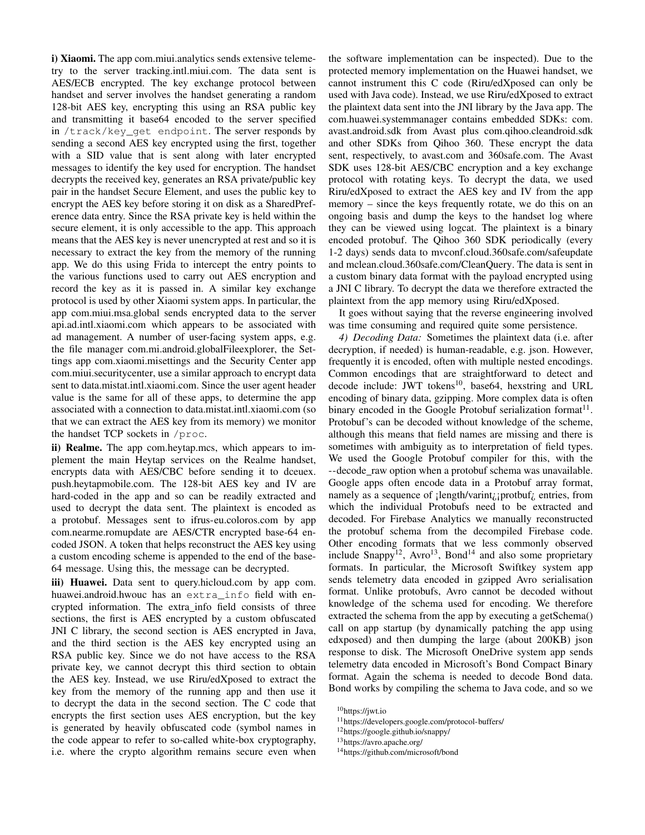i) Xiaomi. The app com.miui.analytics sends extensive telemetry to the server tracking.intl.miui.com. The data sent is AES/ECB encrypted. The key exchange protocol between handset and server involves the handset generating a random 128-bit AES key, encrypting this using an RSA public key and transmitting it base64 encoded to the server specified in /track/key\_get endpoint. The server responds by sending a second AES key encrypted using the first, together with a SID value that is sent along with later encrypted messages to identify the key used for encryption. The handset decrypts the received key, generates an RSA private/public key pair in the handset Secure Element, and uses the public key to encrypt the AES key before storing it on disk as a SharedPreference data entry. Since the RSA private key is held within the secure element, it is only accessible to the app. This approach means that the AES key is never unencrypted at rest and so it is necessary to extract the key from the memory of the running app. We do this using Frida to intercept the entry points to the various functions used to carry out AES encryption and record the key as it is passed in. A similar key exchange protocol is used by other Xiaomi system apps. In particular, the app com.miui.msa.global sends encrypted data to the server api.ad.intl.xiaomi.com which appears to be associated with ad management. A number of user-facing system apps, e.g. the file manager com.mi.android.globalFileexplorer, the Settings app com.xiaomi.misettings and the Security Center app com.miui.securitycenter, use a similar approach to encrypt data sent to data.mistat.intl.xiaomi.com. Since the user agent header value is the same for all of these apps, to determine the app associated with a connection to data.mistat.intl.xiaomi.com (so that we can extract the AES key from its memory) we monitor the handset TCP sockets in /proc.

ii) Realme. The app com.heytap.mcs, which appears to implement the main Heytap services on the Realme handset, encrypts data with AES/CBC before sending it to dceuex. push.heytapmobile.com. The 128-bit AES key and IV are hard-coded in the app and so can be readily extracted and used to decrypt the data sent. The plaintext is encoded as a protobuf. Messages sent to ifrus-eu.coloros.com by app com.nearme.romupdate are AES/CTR encrypted base-64 encoded JSON. A token that helps reconstruct the AES key using a custom encoding scheme is appended to the end of the base-64 message. Using this, the message can be decrypted.

iii) Huawei. Data sent to query.hicloud.com by app com. huawei.android.hwouc has an extra\_info field with encrypted information. The extra info field consists of three sections, the first is AES encrypted by a custom obfuscated JNI C library, the second section is AES encrypted in Java, and the third section is the AES key encrypted using an RSA public key. Since we do not have access to the RSA private key, we cannot decrypt this third section to obtain the AES key. Instead, we use Riru/edXposed to extract the key from the memory of the running app and then use it to decrypt the data in the second section. The C code that encrypts the first section uses AES encryption, but the key is generated by heavily obfuscated code (symbol names in the code appear to refer to so-called white-box cryptography, i.e. where the crypto algorithm remains secure even when

the software implementation can be inspected). Due to the protected memory implementation on the Huawei handset, we cannot instrument this C code (Riru/edXposed can only be used with Java code). Instead, we use Riru/edXposed to extract the plaintext data sent into the JNI library by the Java app. The com.huawei.systemmanager contains embedded SDKs: com. avast.android.sdk from Avast plus com.qihoo.cleandroid.sdk and other SDKs from Qihoo 360. These encrypt the data sent, respectively, to avast.com and 360safe.com. The Avast SDK uses 128-bit AES/CBC encryption and a key exchange protocol with rotating keys. To decrypt the data, we used Riru/edXposed to extract the AES key and IV from the app memory – since the keys frequently rotate, we do this on an ongoing basis and dump the keys to the handset log where they can be viewed using logcat. The plaintext is a binary encoded protobuf. The Qihoo 360 SDK periodically (every 1-2 days) sends data to mvconf.cloud.360safe.com/safeupdate and mclean.cloud.360safe.com/CleanQuery. The data is sent in a custom binary data format with the payload encrypted using a JNI C library. To decrypt the data we therefore extracted the plaintext from the app memory using Riru/edXposed.

It goes without saying that the reverse engineering involved was time consuming and required quite some persistence.

*4) Decoding Data:* Sometimes the plaintext data (i.e. after decryption, if needed) is human-readable, e.g. json. However, frequently it is encoded, often with multiple nested encodings. Common encodings that are straightforward to detect and decode include: JWT tokens<sup>10</sup>, base64, hexstring and URL encoding of binary data, gzipping. More complex data is often binary encoded in the Google Protobuf serialization format $^{11}$ . Protobuf's can be decoded without knowledge of the scheme, although this means that field names are missing and there is sometimes with ambiguity as to interpretation of field types. We used the Google Protobuf compiler for this, with the --decode\_raw option when a protobuf schema was unavailable. Google apps often encode data in a Protobuf array format, namely as a sequence of : length/varint<sub>i</sub>; protbuf<sub>i</sub> entries, from which the individual Protobufs need to be extracted and decoded. For Firebase Analytics we manually reconstructed the protobuf schema from the decompiled Firebase code. Other encoding formats that we less commonly observed include Snappy<sup>12</sup>, Avro<sup>13</sup>, Bond<sup>14</sup> and also some proprietary formats. In particular, the Microsoft Swiftkey system app sends telemetry data encoded in gzipped Avro serialisation format. Unlike protobufs, Avro cannot be decoded without knowledge of the schema used for encoding. We therefore extracted the schema from the app by executing a getSchema() call on app startup (by dynamically patching the app using edxposed) and then dumping the large (about 200KB) json response to disk. The Microsoft OneDrive system app sends telemetry data encoded in Microsoft's Bond Compact Binary format. Again the schema is needed to decode Bond data. Bond works by compiling the schema to Java code, and so we

<sup>13</sup>https://avro.apache.org/

<sup>10</sup>https://jwt.io

<sup>11</sup>https://developers.google.com/protocol-buffers/

<sup>12</sup>https://google.github.io/snappy/

<sup>14</sup>https://github.com/microsoft/bond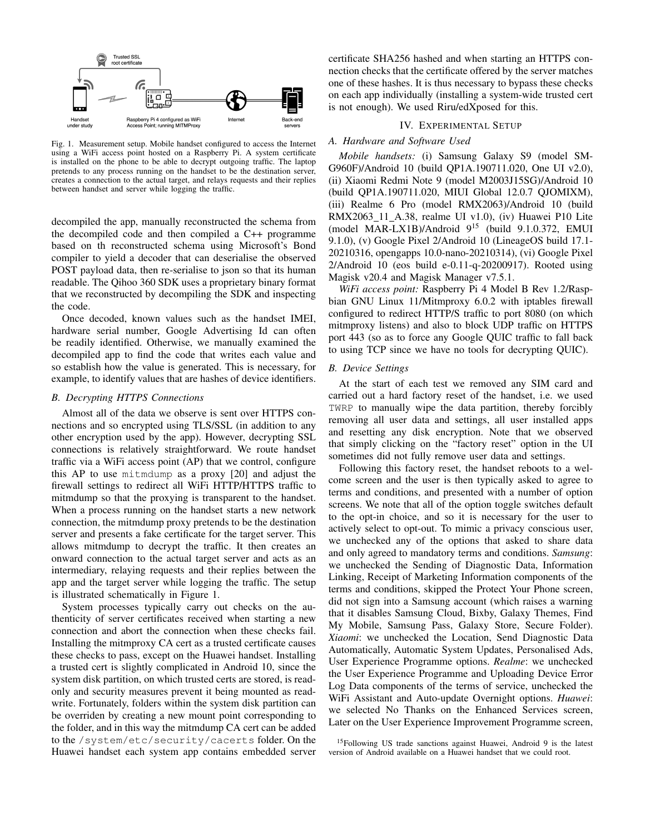

Fig. 1. Measurement setup. Mobile handset configured to access the Internet using a WiFi access point hosted on a Raspberry Pi. A system certificate is installed on the phone to be able to decrypt outgoing traffic. The laptop pretends to any process running on the handset to be the destination server, creates a connection to the actual target, and relays requests and their replies between handset and server while logging the traffic.

decompiled the app, manually reconstructed the schema from the decompiled code and then compiled a C++ programme based on th reconstructed schema using Microsoft's Bond compiler to yield a decoder that can deserialise the observed POST payload data, then re-serialise to json so that its human readable. The Qihoo 360 SDK uses a proprietary binary format that we reconstructed by decompiling the SDK and inspecting the code.

Once decoded, known values such as the handset IMEI, hardware serial number, Google Advertising Id can often be readily identified. Otherwise, we manually examined the decompiled app to find the code that writes each value and so establish how the value is generated. This is necessary, for example, to identify values that are hashes of device identifiers.

## *B. Decrypting HTTPS Connections*

Almost all of the data we observe is sent over HTTPS connections and so encrypted using TLS/SSL (in addition to any other encryption used by the app). However, decrypting SSL connections is relatively straightforward. We route handset traffic via a WiFi access point (AP) that we control, configure this AP to use mitmdump as a proxy [20] and adjust the firewall settings to redirect all WiFi HTTP/HTTPS traffic to mitmdump so that the proxying is transparent to the handset. When a process running on the handset starts a new network connection, the mitmdump proxy pretends to be the destination server and presents a fake certificate for the target server. This allows mitmdump to decrypt the traffic. It then creates an onward connection to the actual target server and acts as an intermediary, relaying requests and their replies between the app and the target server while logging the traffic. The setup is illustrated schematically in Figure 1.

System processes typically carry out checks on the authenticity of server certificates received when starting a new connection and abort the connection when these checks fail. Installing the mitmproxy CA cert as a trusted certificate causes these checks to pass, except on the Huawei handset. Installing a trusted cert is slightly complicated in Android 10, since the system disk partition, on which trusted certs are stored, is readonly and security measures prevent it being mounted as readwrite. Fortunately, folders within the system disk partition can be overriden by creating a new mount point corresponding to the folder, and in this way the mitmdump CA cert can be added to the /system/etc/security/cacerts folder. On the Huawei handset each system app contains embedded server

certificate SHA256 hashed and when starting an HTTPS connection checks that the certificate offered by the server matches one of these hashes. It is thus necessary to bypass these checks on each app individually (installing a system-wide trusted cert is not enough). We used Riru/edXposed for this.

## IV. EXPERIMENTAL SETUP

## *A. Hardware and Software Used*

*Mobile handsets:* (i) Samsung Galaxy S9 (model SM-G960F)/Android 10 (build QP1A.190711.020, One UI v2.0), (ii) Xiaomi Redmi Note 9 (model M2003J15SG)/Android 10 (build QP1A.190711.020, MIUI Global 12.0.7 QJOMIXM), (iii) Realme 6 Pro (model RMX2063)/Android 10 (build RMX2063 11 A.38, realme UI v1.0), (iv) Huawei P10 Lite (model MAR-LX1B)/Android  $9^{15}$  (build 9.1.0.372, EMUI 9.1.0), (v) Google Pixel 2/Android 10 (LineageOS build 17.1- 20210316, opengapps 10.0-nano-20210314), (vi) Google Pixel 2/Android 10 (eos build e-0.11-q-20200917). Rooted using Magisk v20.4 and Magisk Manager v7.5.1.

*WiFi access point:* Raspberry Pi 4 Model B Rev 1.2/Raspbian GNU Linux 11/Mitmproxy 6.0.2 with iptables firewall configured to redirect HTTP/S traffic to port 8080 (on which mitmproxy listens) and also to block UDP traffic on HTTPS port 443 (so as to force any Google QUIC traffic to fall back to using TCP since we have no tools for decrypting QUIC).

## *B. Device Settings*

At the start of each test we removed any SIM card and carried out a hard factory reset of the handset, i.e. we used TWRP to manually wipe the data partition, thereby forcibly removing all user data and settings, all user installed apps and resetting any disk encryption. Note that we observed that simply clicking on the "factory reset" option in the UI sometimes did not fully remove user data and settings.

Following this factory reset, the handset reboots to a welcome screen and the user is then typically asked to agree to terms and conditions, and presented with a number of option screens. We note that all of the option toggle switches default to the opt-in choice, and so it is necessary for the user to actively select to opt-out. To mimic a privacy conscious user, we unchecked any of the options that asked to share data and only agreed to mandatory terms and conditions. *Samsung*: we unchecked the Sending of Diagnostic Data, Information Linking, Receipt of Marketing Information components of the terms and conditions, skipped the Protect Your Phone screen, did not sign into a Samsung account (which raises a warning that it disables Samsung Cloud, Bixby, Galaxy Themes, Find My Mobile, Samsung Pass, Galaxy Store, Secure Folder). *Xiaomi*: we unchecked the Location, Send Diagnostic Data Automatically, Automatic System Updates, Personalised Ads, User Experience Programme options. *Realme*: we unchecked the User Experience Programme and Uploading Device Error Log Data components of the terms of service, unchecked the WiFi Assistant and Auto-update Overnight options. *Huawei*: we selected No Thanks on the Enhanced Services screen, Later on the User Experience Improvement Programme screen,

<sup>&</sup>lt;sup>15</sup>Following US trade sanctions against Huawei, Android 9 is the latest version of Android available on a Huawei handset that we could root.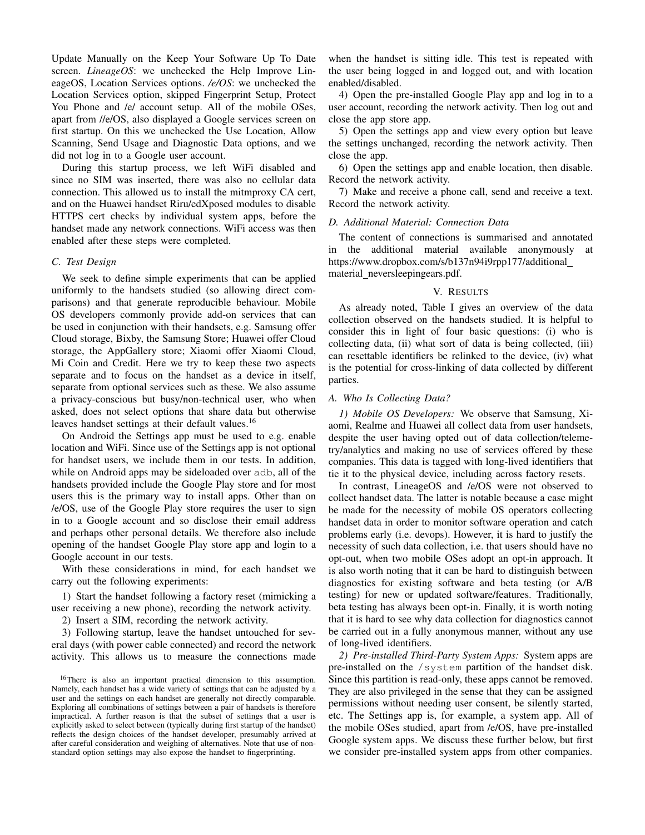Update Manually on the Keep Your Software Up To Date screen. *LineageOS*: we unchecked the Help Improve LineageOS, Location Services options. */e/OS*: we unchecked the Location Services option, skipped Fingerprint Setup, Protect You Phone and /e/ account setup. All of the mobile OSes, apart from //e/OS, also displayed a Google services screen on first startup. On this we unchecked the Use Location, Allow Scanning, Send Usage and Diagnostic Data options, and we did not log in to a Google user account.

During this startup process, we left WiFi disabled and since no SIM was inserted, there was also no cellular data connection. This allowed us to install the mitmproxy CA cert, and on the Huawei handset Riru/edXposed modules to disable HTTPS cert checks by individual system apps, before the handset made any network connections. WiFi access was then enabled after these steps were completed.

## *C. Test Design*

We seek to define simple experiments that can be applied uniformly to the handsets studied (so allowing direct comparisons) and that generate reproducible behaviour. Mobile OS developers commonly provide add-on services that can be used in conjunction with their handsets, e.g. Samsung offer Cloud storage, Bixby, the Samsung Store; Huawei offer Cloud storage, the AppGallery store; Xiaomi offer Xiaomi Cloud, Mi Coin and Credit. Here we try to keep these two aspects separate and to focus on the handset as a device in itself, separate from optional services such as these. We also assume a privacy-conscious but busy/non-technical user, who when asked, does not select options that share data but otherwise leaves handset settings at their default values.<sup>16</sup>

On Android the Settings app must be used to e.g. enable location and WiFi. Since use of the Settings app is not optional for handset users, we include them in our tests. In addition, while on Android apps may be sideloaded over adb, all of the handsets provided include the Google Play store and for most users this is the primary way to install apps. Other than on /e/OS, use of the Google Play store requires the user to sign in to a Google account and so disclose their email address and perhaps other personal details. We therefore also include opening of the handset Google Play store app and login to a Google account in our tests.

With these considerations in mind, for each handset we carry out the following experiments:

1) Start the handset following a factory reset (mimicking a user receiving a new phone), recording the network activity.

2) Insert a SIM, recording the network activity.

3) Following startup, leave the handset untouched for several days (with power cable connected) and record the network activity. This allows us to measure the connections made when the handset is sitting idle. This test is repeated with the user being logged in and logged out, and with location enabled/disabled.

4) Open the pre-installed Google Play app and log in to a user account, recording the network activity. Then log out and close the app store app.

5) Open the settings app and view every option but leave the settings unchanged, recording the network activity. Then close the app.

6) Open the settings app and enable location, then disable. Record the network activity.

7) Make and receive a phone call, send and receive a text. Record the network activity.

#### *D. Additional Material: Connection Data*

The content of connections is summarised and annotated in the additional material available anonymously at https://www.dropbox.com/s/b137n94i9rpp177/additional material neversleepingears.pdf.

#### V. RESULTS

As already noted, Table I gives an overview of the data collection observed on the handsets studied. It is helpful to consider this in light of four basic questions: (i) who is collecting data, (ii) what sort of data is being collected, (iii) can resettable identifiers be relinked to the device, (iv) what is the potential for cross-linking of data collected by different parties.

## *A. Who Is Collecting Data?*

*1) Mobile OS Developers:* We observe that Samsung, Xiaomi, Realme and Huawei all collect data from user handsets, despite the user having opted out of data collection/telemetry/analytics and making no use of services offered by these companies. This data is tagged with long-lived identifiers that tie it to the physical device, including across factory resets.

In contrast, LineageOS and /e/OS were not observed to collect handset data. The latter is notable because a case might be made for the necessity of mobile OS operators collecting handset data in order to monitor software operation and catch problems early (i.e. devops). However, it is hard to justify the necessity of such data collection, i.e. that users should have no opt-out, when two mobile OSes adopt an opt-in approach. It is also worth noting that it can be hard to distinguish between diagnostics for existing software and beta testing (or A/B testing) for new or updated software/features. Traditionally, beta testing has always been opt-in. Finally, it is worth noting that it is hard to see why data collection for diagnostics cannot be carried out in a fully anonymous manner, without any use of long-lived identifiers.

*2) Pre-installed Third-Party System Apps:* System apps are pre-installed on the /system partition of the handset disk. Since this partition is read-only, these apps cannot be removed. They are also privileged in the sense that they can be assigned permissions without needing user consent, be silently started, etc. The Settings app is, for example, a system app. All of the mobile OSes studied, apart from /e/OS, have pre-installed Google system apps. We discuss these further below, but first we consider pre-installed system apps from other companies.

<sup>&</sup>lt;sup>16</sup>There is also an important practical dimension to this assumption. Namely, each handset has a wide variety of settings that can be adjusted by a user and the settings on each handset are generally not directly comparable. Exploring all combinations of settings between a pair of handsets is therefore impractical. A further reason is that the subset of settings that a user is explicitly asked to select between (typically during first startup of the handset) reflects the design choices of the handset developer, presumably arrived at after careful consideration and weighing of alternatives. Note that use of nonstandard option settings may also expose the handset to fingerprinting.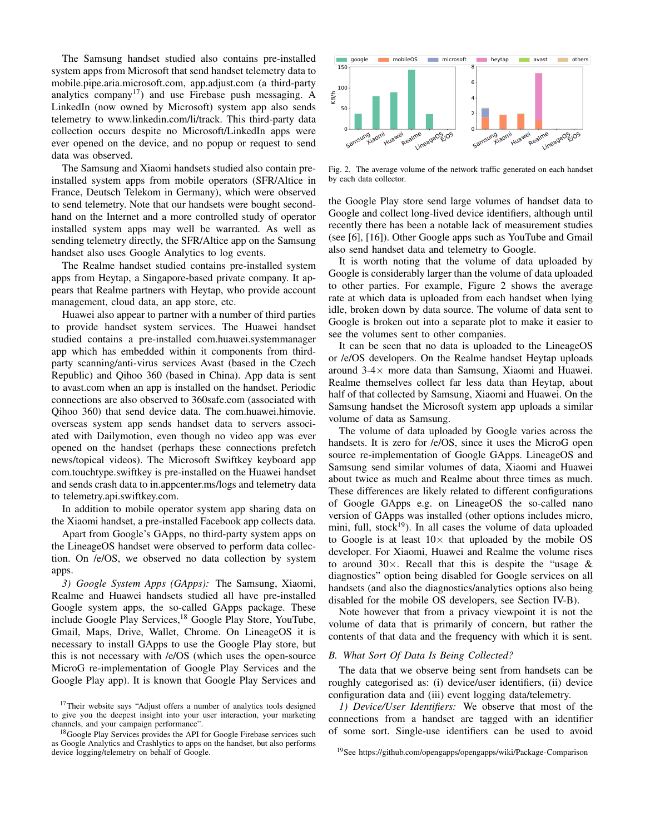The Samsung handset studied also contains pre-installed system apps from Microsoft that send handset telemetry data to mobile.pipe.aria.microsoft.com, app.adjust.com (a third-party analytics company<sup>17</sup>) and use Firebase push messaging. A LinkedIn (now owned by Microsoft) system app also sends telemetry to www.linkedin.com/li/track. This third-party data collection occurs despite no Microsoft/LinkedIn apps were ever opened on the device, and no popup or request to send data was observed.

The Samsung and Xiaomi handsets studied also contain preinstalled system apps from mobile operators (SFR/Altice in France, Deutsch Telekom in Germany), which were observed to send telemetry. Note that our handsets were bought secondhand on the Internet and a more controlled study of operator installed system apps may well be warranted. As well as sending telemetry directly, the SFR/Altice app on the Samsung handset also uses Google Analytics to log events.

The Realme handset studied contains pre-installed system apps from Heytap, a Singapore-based private company. It appears that Realme partners with Heytap, who provide account management, cloud data, an app store, etc.

Huawei also appear to partner with a number of third parties to provide handset system services. The Huawei handset studied contains a pre-installed com.huawei.systemmanager app which has embedded within it components from thirdparty scanning/anti-virus services Avast (based in the Czech Republic) and Qihoo 360 (based in China). App data is sent to avast.com when an app is installed on the handset. Periodic connections are also observed to 360safe.com (associated with Qihoo 360) that send device data. The com.huawei.himovie. overseas system app sends handset data to servers associated with Dailymotion, even though no video app was ever opened on the handset (perhaps these connections prefetch news/topical videos). The Microsoft Swiftkey keyboard app com.touchtype.swiftkey is pre-installed on the Huawei handset and sends crash data to in.appcenter.ms/logs and telemetry data to telemetry.api.swiftkey.com.

In addition to mobile operator system app sharing data on the Xiaomi handset, a pre-installed Facebook app collects data.

Apart from Google's GApps, no third-party system apps on the LineageOS handset were observed to perform data collection. On /e/OS, we observed no data collection by system apps.

*3) Google System Apps (GApps):* The Samsung, Xiaomi, Realme and Huawei handsets studied all have pre-installed Google system apps, the so-called GApps package. These include Google Play Services,<sup>18</sup> Google Play Store, YouTube, Gmail, Maps, Drive, Wallet, Chrome. On LineageOS it is necessary to install GApps to use the Google Play store, but this is not necessary with /e/OS (which uses the open-source MicroG re-implementation of Google Play Services and the Google Play app). It is known that Google Play Services and



Fig. 2. The average volume of the network traffic generated on each handset by each data collector.

the Google Play store send large volumes of handset data to Google and collect long-lived device identifiers, although until recently there has been a notable lack of measurement studies (see [6], [16]). Other Google apps such as YouTube and Gmail also send handset data and telemetry to Google.

It is worth noting that the volume of data uploaded by Google is considerably larger than the volume of data uploaded to other parties. For example, Figure 2 shows the average rate at which data is uploaded from each handset when lying idle, broken down by data source. The volume of data sent to Google is broken out into a separate plot to make it easier to see the volumes sent to other companies.

It can be seen that no data is uploaded to the LineageOS or /e/OS developers. On the Realme handset Heytap uploads around 3-4× more data than Samsung, Xiaomi and Huawei. Realme themselves collect far less data than Heytap, about half of that collected by Samsung, Xiaomi and Huawei. On the Samsung handset the Microsoft system app uploads a similar volume of data as Samsung.

The volume of data uploaded by Google varies across the handsets. It is zero for /e/OS, since it uses the MicroG open source re-implementation of Google GApps. LineageOS and Samsung send similar volumes of data, Xiaomi and Huawei about twice as much and Realme about three times as much. These differences are likely related to different configurations of Google GApps e.g. on LineageOS the so-called nano version of GApps was installed (other options includes micro, mini, full, stock $19$ ). In all cases the volume of data uploaded to Google is at least  $10\times$  that uploaded by the mobile OS developer. For Xiaomi, Huawei and Realme the volume rises to around  $30\times$ . Recall that this is despite the "usage & diagnostics" option being disabled for Google services on all handsets (and also the diagnostics/analytics options also being disabled for the mobile OS developers, see Section IV-B).

Note however that from a privacy viewpoint it is not the volume of data that is primarily of concern, but rather the contents of that data and the frequency with which it is sent.

## *B. What Sort Of Data Is Being Collected?*

The data that we observe being sent from handsets can be roughly categorised as: (i) device/user identifiers, (ii) device configuration data and (iii) event logging data/telemetry.

*1) Device/User Identifiers:* We observe that most of the connections from a handset are tagged with an identifier of some sort. Single-use identifiers can be used to avoid

<sup>&</sup>lt;sup>17</sup>Their website says "Adjust offers a number of analytics tools designed to give you the deepest insight into your user interaction, your marketing channels, and your campaign performance".

<sup>&</sup>lt;sup>18</sup>Google Play Services provides the API for Google Firebase services such as Google Analytics and Crashlytics to apps on the handset, but also performs device logging/telemetry on behalf of Google.

<sup>19</sup>See https://github.com/opengapps/opengapps/wiki/Package-Comparison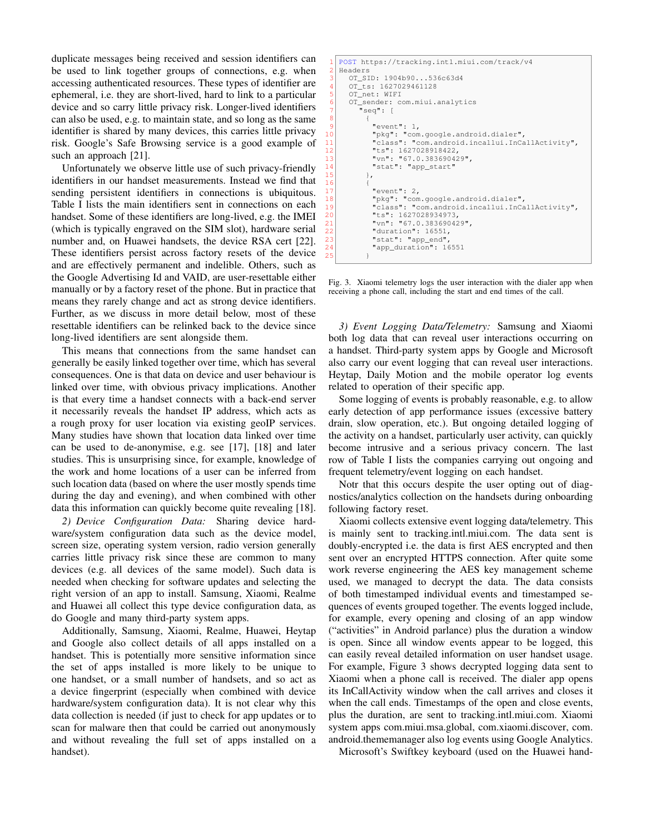duplicate messages being received and session identifiers can be used to link together groups of connections, e.g. when accessing authenticated resources. These types of identifier are ephemeral, i.e. they are short-lived, hard to link to a particular device and so carry little privacy risk. Longer-lived identifiers can also be used, e.g. to maintain state, and so long as the same identifier is shared by many devices, this carries little privacy risk. Google's Safe Browsing service is a good example of such an approach [21].

Unfortunately we observe little use of such privacy-friendly identifiers in our handset measurements. Instead we find that sending persistent identifiers in connections is ubiquitous. Table I lists the main identifiers sent in connections on each handset. Some of these identifiers are long-lived, e.g. the IMEI (which is typically engraved on the SIM slot), hardware serial number and, on Huawei handsets, the device RSA cert [22]. These identifiers persist across factory resets of the device and are effectively permanent and indelible. Others, such as the Google Advertising Id and VAID, are user-resettable either manually or by a factory reset of the phone. But in practice that means they rarely change and act as strong device identifiers. Further, as we discuss in more detail below, most of these resettable identifiers can be relinked back to the device since long-lived identifiers are sent alongside them.

This means that connections from the same handset can generally be easily linked together over time, which has several consequences. One is that data on device and user behaviour is linked over time, with obvious privacy implications. Another is that every time a handset connects with a back-end server it necessarily reveals the handset IP address, which acts as a rough proxy for user location via existing geoIP services. Many studies have shown that location data linked over time can be used to de-anonymise, e.g. see [17], [18] and later studies. This is unsurprising since, for example, knowledge of the work and home locations of a user can be inferred from such location data (based on where the user mostly spends time during the day and evening), and when combined with other data this information can quickly become quite revealing [18].

*2) Device Configuration Data:* Sharing device hardware/system configuration data such as the device model, screen size, operating system version, radio version generally carries little privacy risk since these are common to many devices (e.g. all devices of the same model). Such data is needed when checking for software updates and selecting the right version of an app to install. Samsung, Xiaomi, Realme and Huawei all collect this type device configuration data, as do Google and many third-party system apps.

Additionally, Samsung, Xiaomi, Realme, Huawei, Heytap and Google also collect details of all apps installed on a handset. This is potentially more sensitive information since the set of apps installed is more likely to be unique to one handset, or a small number of handsets, and so act as a device fingerprint (especially when combined with device hardware/system configuration data). It is not clear why this data collection is needed (if just to check for app updates or to scan for malware then that could be carried out anonymously and without revealing the full set of apps installed on a handset).

```
1 POST https://tracking.intl.miui.com/track/v4<br>2 Headers
   Headers
      3 OT_SID: 1904b90...536c63d4
      4 OT_ts: 1627029461128
      OT_net: WIFI
      OT_sender: com.miui.analytics
         7 "seq": [
 8 {
 |9| "event": 1,
10 \vert "pkg": "com.google.android.dialer",
11 "class": "com.android.incallui.InCallActivity",<br>12 "ts": 1627028918422,
             "ts": 1627028918422,
\frac{13}{13} "vn": "67.0.383690429",
             "stat": "app_start"
15,
17 "event": 2,
18 "pkg": "com.google.android.dialer",
19 "class": "com.android.incallui.InCallActivity",
20 "ts": 1627028934973,
\begin{array}{c|c} 21 & \text{wnn} \text{...} & 57.0.383690429 \text{...} \\ \hline 22 & \text{duration} \text{...} & 16551, \end{array}"duration": 16551,
             "stat": "app_end"
             "app_duration": 16551
25 }
```
16 {

Fig. 3. Xiaomi telemetry logs the user interaction with the dialer app when receiving a phone call, including the start and end times of the call.

*3) Event Logging Data/Telemetry:* Samsung and Xiaomi both log data that can reveal user interactions occurring on a handset. Third-party system apps by Google and Microsoft also carry our event logging that can reveal user interactions. Heytap, Daily Motion and the mobile operator log events related to operation of their specific app.

Some logging of events is probably reasonable, e.g. to allow early detection of app performance issues (excessive battery drain, slow operation, etc.). But ongoing detailed logging of the activity on a handset, particularly user activity, can quickly become intrusive and a serious privacy concern. The last row of Table I lists the companies carrying out ongoing and frequent telemetry/event logging on each handset.

Notr that this occurs despite the user opting out of diagnostics/analytics collection on the handsets during onboarding following factory reset.

Xiaomi collects extensive event logging data/telemetry. This is mainly sent to tracking.intl.miui.com. The data sent is doubly-encrypted i.e. the data is first AES encrypted and then sent over an encrypted HTTPS connection. After quite some work reverse engineering the AES key management scheme used, we managed to decrypt the data. The data consists of both timestamped individual events and timestamped sequences of events grouped together. The events logged include, for example, every opening and closing of an app window ("activities" in Android parlance) plus the duration a window is open. Since all window events appear to be logged, this can easily reveal detailed information on user handset usage. For example, Figure 3 shows decrypted logging data sent to Xiaomi when a phone call is received. The dialer app opens its InCallActivity window when the call arrives and closes it when the call ends. Timestamps of the open and close events, plus the duration, are sent to tracking.intl.miui.com. Xiaomi system apps com.miui.msa.global, com.xiaomi.discover, com. android.thememanager also log events using Google Analytics.

Microsoft's Swiftkey keyboard (used on the Huawei hand-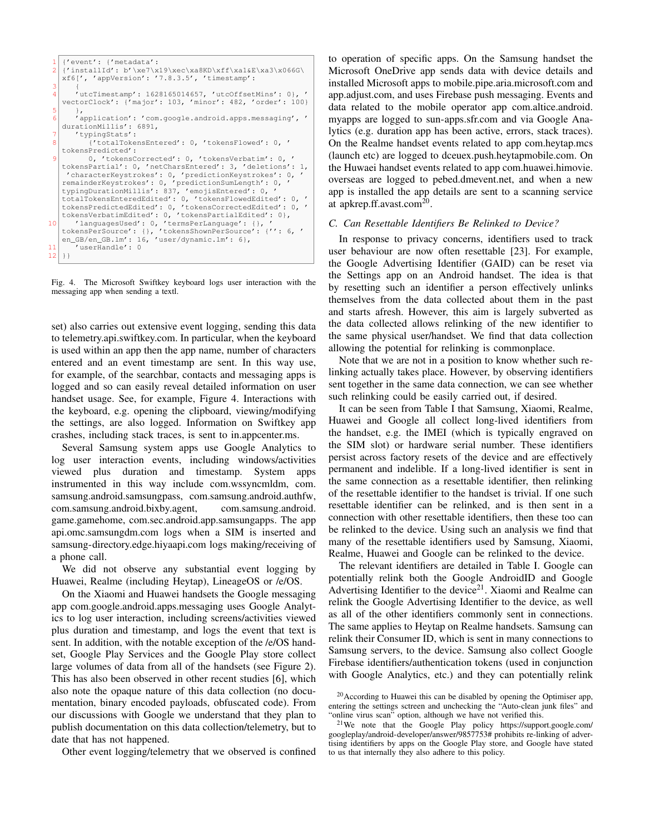```
1 {'event': {'metadata':
  2 {'installId': b'\xe7\x19\xec\xa8KD\xff\xa1&E\xa3\x066G\
xf6[', 'appVersion': '7.8.3.5', 'timestamp':
  3 \mid \qquad \{4 'utcTimestamp': 1628165014657, 'utcOffsetMins': 0}, '
     vectorClock': {'major': 103, 'minor': 482, 'order': 100}
  5 \vert \vert,
          'application': 'com.google.android.apps.messaging', '
     durationMillis': 6891,
          7 'typingStats':
              8 {'totalTokensEntered': 0, 'tokensFlowed': 0, '
     tokensPredicted':
              0, 'tokensCorrected': 0, 'tokensVerbatim': 0, '
     tokensPartial': 0, 'netCharsEntered': 3, 'deletions': 1,
     'characterKeystrokes': 0, 'predictionKeystrokes': 0, '
remainderKeystrokes': 0, 'predictionSumLength': 0, '
     typingDurationMillis': 837, 'emojisEntered': 0, '<br>totalTokensEnteredEdited': 0, 'tokensFlowedEdited': 0, '<br>tokensVerbatimEdited': 0, 'tokensPartialEdited': 0}, '<br>tokensVerbatimEdited': 0, 'tokensPartialEdited': 0},
10 'languagesUsed': 0, 'termsPerLanguage': {},
     tokensPerSource': {}, 'tokensShownPerSource': {'': 6, '
en_GB/en_GB.lm': 16, 'user/dynamic.lm': 6},
\begin{bmatrix} 11 \\ 12 \end{bmatrix} is user Handle': 0
     12 }}
```
Fig. 4. The Microsoft Swiftkey keyboard logs user interaction with the messaging app when sending a textl.

set) also carries out extensive event logging, sending this data to telemetry.api.swiftkey.com. In particular, when the keyboard is used within an app then the app name, number of characters entered and an event timestamp are sent. In this way use, for example, of the searchbar, contacts and messaging apps is logged and so can easily reveal detailed information on user handset usage. See, for example, Figure 4. Interactions with the keyboard, e.g. opening the clipboard, viewing/modifying the settings, are also logged. Information on Swiftkey app crashes, including stack traces, is sent to in.appcenter.ms.

Several Samsung system apps use Google Analytics to log user interaction events, including windows/activities viewed plus duration and timestamp. System apps instrumented in this way include com.wssyncmldm, com. samsung.android.samsungpass, com.samsung.android.authfw, com.samsung.android.bixby.agent, com.samsung.android. game.gamehome, com.sec.android.app.samsungapps. The app api.omc.samsungdm.com logs when a SIM is inserted and samsung-directory.edge.hiyaapi.com logs making/receiving of a phone call.

We did not observe any substantial event logging by Huawei, Realme (including Heytap), LineageOS or /e/OS.

On the Xiaomi and Huawei handsets the Google messaging app com.google.android.apps.messaging uses Google Analytics to log user interaction, including screens/activities viewed plus duration and timestamp, and logs the event that text is sent. In addition, with the notable exception of the /e/OS handset, Google Play Services and the Google Play store collect large volumes of data from all of the handsets (see Figure 2). This has also been observed in other recent studies [6], which also note the opaque nature of this data collection (no documentation, binary encoded payloads, obfuscated code). From our discussions with Google we understand that they plan to publish documentation on this data collection/telemetry, but to date that has not happened.

Other event logging/telemetry that we observed is confined

to operation of specific apps. On the Samsung handset the Microsoft OneDrive app sends data with device details and installed Microsoft apps to mobile.pipe.aria.microsoft.com and app.adjust.com, and uses Firebase push messaging. Events and data related to the mobile operator app com.altice.android. myapps are logged to sun-apps.sfr.com and via Google Analytics (e.g. duration app has been active, errors, stack traces). On the Realme handset events related to app com.heytap.mcs (launch etc) are logged to dceuex.push.heytapmobile.com. On the Huwaei handset events related to app com.huawei.himovie. overseas are logged to pebed.dmevent.net, and when a new app is installed the app details are sent to a scanning service at apkrep.ff.avast.com<sup>20</sup>.

## *C. Can Resettable Identifiers Be Relinked to Device?*

In response to privacy concerns, identifiers used to track user behaviour are now often resettable [23]. For example, the Google Advertising Identifier (GAID) can be reset via the Settings app on an Android handset. The idea is that by resetting such an identifier a person effectively unlinks themselves from the data collected about them in the past and starts afresh. However, this aim is largely subverted as the data collected allows relinking of the new identifier to the same physical user/handset. We find that data collection allowing the potential for relinking is commonplace.

Note that we are not in a position to know whether such relinking actually takes place. However, by observing identifiers sent together in the same data connection, we can see whether such relinking could be easily carried out, if desired.

It can be seen from Table I that Samsung, Xiaomi, Realme, Huawei and Google all collect long-lived identifiers from the handset, e.g. the IMEI (which is typically engraved on the SIM slot) or hardware serial number. These identifiers persist across factory resets of the device and are effectively permanent and indelible. If a long-lived identifier is sent in the same connection as a resettable identifier, then relinking of the resettable identifier to the handset is trivial. If one such resettable identifier can be relinked, and is then sent in a connection with other resettable identifiers, then these too can be relinked to the device. Using such an analysis we find that many of the resettable identifiers used by Samsung, Xiaomi, Realme, Huawei and Google can be relinked to the device.

The relevant identifiers are detailed in Table I. Google can potentially relink both the Google AndroidID and Google Advertising Identifier to the device<sup>21</sup>. Xiaomi and Realme can relink the Google Advertising Identifier to the device, as well as all of the other identifiers commonly sent in connections. The same applies to Heytap on Realme handsets. Samsung can relink their Consumer ID, which is sent in many connections to Samsung servers, to the device. Samsung also collect Google Firebase identifiers/authentication tokens (used in conjunction with Google Analytics, etc.) and they can potentially relink

<sup>&</sup>lt;sup>20</sup> According to Huawei this can be disabled by opening the Optimiser app, entering the settings sctreen and unchecking the "Auto-clean junk files" and "online virus scan" option, although we have not verified this.

<sup>21</sup>We note that the Google Play policy https://support.google.com/ googleplay/android-developer/answer/9857753# prohibits re-linking of advertising identifiers by apps on the Google Play store, and Google have stated to us that internally they also adhere to this policy.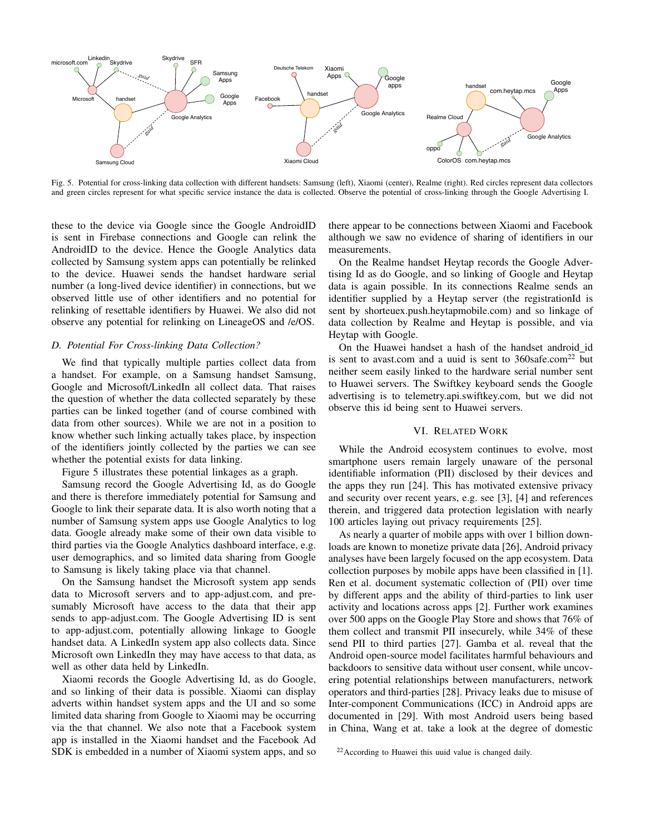

Fig. 5. Potential for cross-linking data collection with different handsets: Samsung (left), Xiaomi (center), Realme (right). Red circles represent data collectors and green circles represent for what specific service instance the data is collected. Observe the potential of cross-linking through the Google Advertising I.

these to the device via Google since the Google AndroidID is sent in Firebase connections and Google can relink the AndroidID to the device. Hence the Google Analytics data collected by Samsung system apps can potentially be relinked to the device. Huawei sends the handset hardware serial number (a long-lived device identifier) in connections, but we observed little use of other identifiers and no potential for relinking of resettable identifiers by Huawei. We also did not observe any potential for relinking on LineageOS and /e/OS.

## *D. Potential For Cross-linking Data Collection?*

We find that typically multiple parties collect data from a handset. For example, on a Samsung handset Samsung, Google and Microsoft/LinkedIn all collect data. That raises the question of whether the data collected separately by these parties can be linked together (and of course combined with data from other sources). While we are not in a position to know whether such linking actually takes place, by inspection of the identifiers jointly collected by the parties we can see whether the potential exists for data linking.

Figure 5 illustrates these potential linkages as a graph.

Samsung record the Google Advertising Id, as do Google and there is therefore immediately potential for Samsung and Google to link their separate data. It is also worth noting that a number of Samsung system apps use Google Analytics to log data. Google already make some of their own data visible to third parties via the Google Analytics dashboard interface, e.g. user demographics, and so limited data sharing from Google to Samsung is likely taking place via that channel.

On the Samsung handset the Microsoft system app sends data to Microsoft servers and to app-adjust.com, and presumably Microsoft have access to the data that their app sends to app-adjust.com. The Google Advertising ID is sent to app-adjust.com, potentially allowing linkage to Google handset data. A LinkedIn system app also collects data. Since Microsoft own LinkedIn they may have access to that data, as well as other data held by LinkedIn.

Xiaomi records the Google Advertising Id, as do Google, and so linking of their data is possible. Xiaomi can display adverts within handset system apps and the UI and so some limited data sharing from Google to Xiaomi may be occurring via the that channel. We also note that a Facebook system app is installed in the Xiaomi handset and the Facebook Ad SDK is embedded in a number of Xiaomi system apps, and so there appear to be connections between Xiaomi and Facebook although we saw no evidence of sharing of identifiers in our measurements.

On the Realme handset Heytap records the Google Advertising Id as do Google, and so linking of Google and Heytap data is again possible. In its connections Realme sends an identifier supplied by a Heytap server (the registrationId is sent by shorteuex.push.heytapmobile.com) and so linkage of data collection by Realme and Heytap is possible, and via Heytap with Google.

On the Huawei handset a hash of the handset android id is sent to avast.com and a uuid is sent to  $360$ safe.com<sup>22</sup> but neither seem easily linked to the hardware serial number sent to Huawei servers. The Swiftkey keyboard sends the Google advertising is to telemetry.api.swiftkey.com, but we did not observe this id being sent to Huawei servers.

## VI. RELATED WORK

While the Android ecosystem continues to evolve, most smartphone users remain largely unaware of the personal identifiable information (PII) disclosed by their devices and the apps they run [24]. This has motivated extensive privacy and security over recent years, e.g. see [3], [4] and references therein, and triggered data protection legislation with nearly 100 articles laying out privacy requirements [25].

As nearly a quarter of mobile apps with over 1 billion downloads are known to monetize private data [26], Android privacy analyses have been largely focused on the app ecosystem. Data collection purposes by mobile apps have been classified in [1]. Ren et al. document systematic collection of (PII) over time by different apps and the ability of third-parties to link user activity and locations across apps [2]. Further work examines over 500 apps on the Google Play Store and shows that 76% of them collect and transmit PII insecurely, while 34% of these send PII to third parties [27]. Gamba et al. reveal that the Android open-source model facilitates harmful behaviours and backdoors to sensitive data without user consent, while uncovering potential relationships between manufacturers, network operators and third-parties [28]. Privacy leaks due to misuse of Inter-component Communications (ICC) in Android apps are documented in [29]. With most Android users being based in China, Wang et at. take a look at the degree of domestic

 $22$ According to Huawei this uuid value is changed daily.